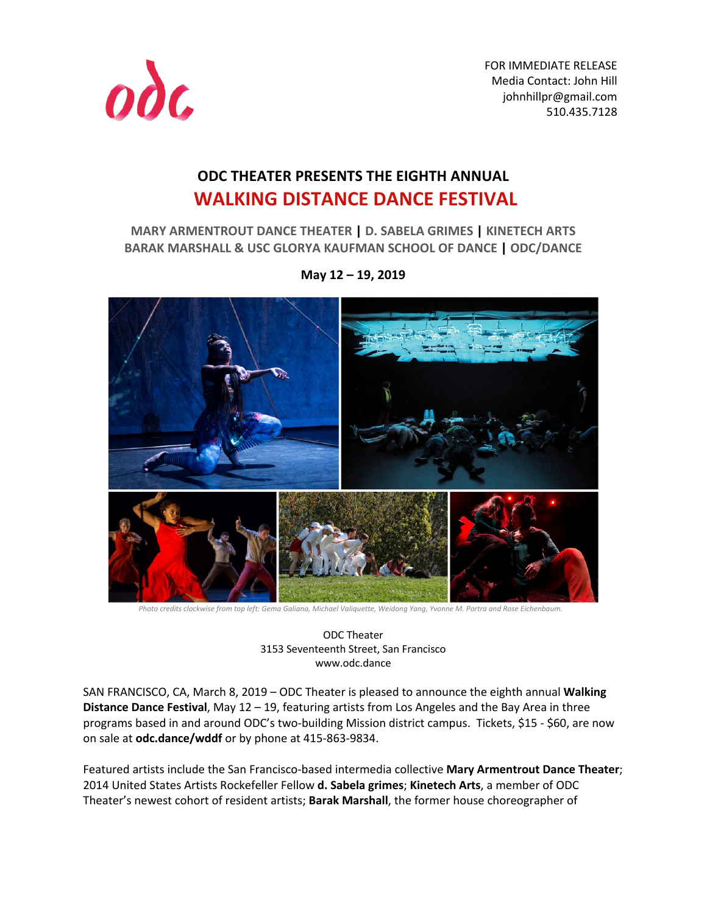

FOR IMMEDIATE RELEASE Media Contact: John Hill johnhillpr@gmail.com 510.435.7128

# **ODC THEATER PRESENTS THE EIGHTH ANNUAL WALKING DISTANCE DANCE FESTIVAL**

**MARY ARMENTROUT DANCE THEATER | D. SABELA GRIMES | KINETECH ARTS BARAK MARSHALL & USC GLORYA KAUFMAN SCHOOL OF DANCE | ODC/DANCE**



**May 12 – 19, 2019**

*Photo credits clockwise from top left: Gema Galiana, Michael Valiquette, Weidong Yang, Yvonne M. Portra and Rose Eichenbaum.*

ODC Theater 3153 Seventeenth Street, San Francisco www.odc.dance

SAN FRANCISCO, CA, March 8, 2019 – ODC Theater is pleased to announce the eighth annual **Walking Distance Dance Festival**, May 12 – 19, featuring artists from Los Angeles and the Bay Area in three programs based in and around ODC's two-building Mission district campus. Tickets, \$15 - \$60, are now on sale at **odc.dance/wddf** or by phone at 415-863-9834.

Featured artists include the San Francisco-based intermedia collective **Mary Armentrout Dance Theater**; 2014 United States Artists Rockefeller Fellow **d. Sabela grimes**; **Kinetech Arts**, a member of ODC Theater's newest cohort of resident artists; **Barak Marshall**, the former house choreographer of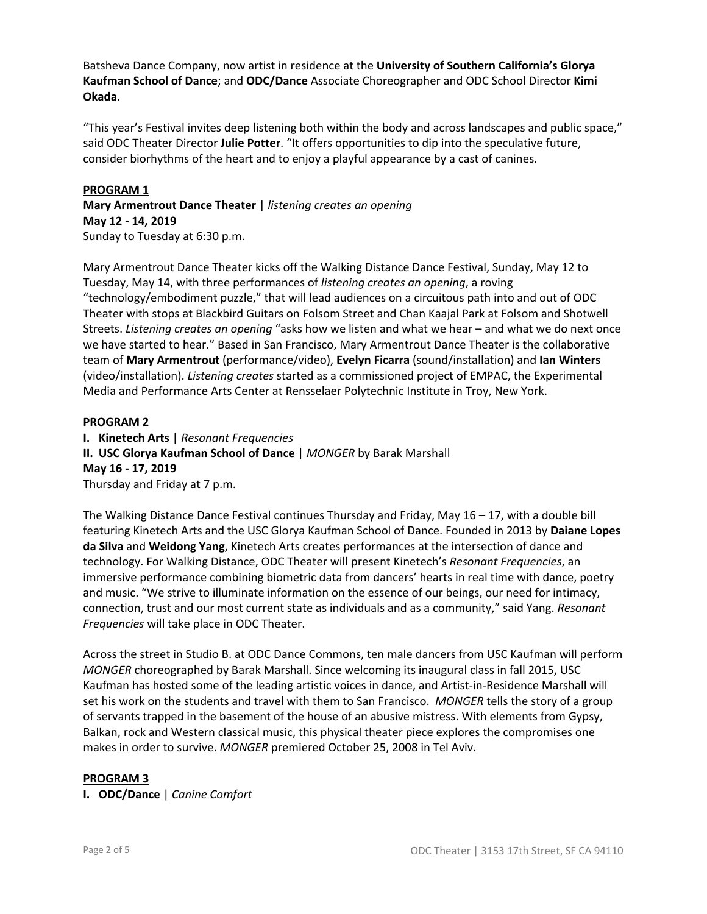Batsheva Dance Company, now artist in residence at the **University of Southern California's Glorya Kaufman School of Dance**; and **ODC/Dance** Associate Choreographer and ODC School Director **Kimi Okada**.

"This year's Festival invites deep listening both within the body and across landscapes and public space," said ODC Theater Director **Julie Potter**. "It offers opportunities to dip into the speculative future, consider biorhythms of the heart and to enjoy a playful appearance by a cast of canines.

### **PROGRAM 1**

**Mary Armentrout Dance Theater** | *listening creates an opening* **May 12 - 14, 2019** Sunday to Tuesday at 6:30 p.m.

Mary Armentrout Dance Theater kicks off the Walking Distance Dance Festival, Sunday, May 12 to Tuesday, May 14, with three performances of *listening creates an opening*, a roving "technology/embodiment puzzle," that will lead audiences on a circuitous path into and out of ODC Theater with stops at Blackbird Guitars on Folsom Street and Chan Kaajal Park at Folsom and Shotwell Streets. *Listening creates an opening* "asks how we listen and what we hear – and what we do next once we have started to hear." Based in San Francisco, Mary Armentrout Dance Theater is the collaborative team of **Mary Armentrout** (performance/video), **Evelyn Ficarra** (sound/installation) and **Ian Winters** (video/installation). *Listening creates* started as a commissioned project of EMPAC, the Experimental Media and Performance Arts Center at Rensselaer Polytechnic Institute in Troy, New York.

## **PROGRAM 2**

**I. Kinetech Arts** | *Resonant Frequencies*

**II. USC Glorya Kaufman School of Dance** | *MONGER* by Barak Marshall **May 16 - 17, 2019**  Thursday and Friday at 7 p.m.

The Walking Distance Dance Festival continues Thursday and Friday, May  $16 - 17$ , with a double bill featuring Kinetech Arts and the USC Glorya Kaufman School of Dance. Founded in 2013 by **Daiane Lopes da Silva** and **Weidong Yang**, Kinetech Arts creates performances at the intersection of dance and technology. For Walking Distance, ODC Theater will present Kinetech's *Resonant Frequencies*, an immersive performance combining biometric data from dancers' hearts in real time with dance, poetry and music. "We strive to illuminate information on the essence of our beings, our need for intimacy, connection, trust and our most current state as individuals and as a community," said Yang. *Resonant Frequencies* will take place in ODC Theater.

Across the street in Studio B. at ODC Dance Commons, ten male dancers from USC Kaufman will perform *MONGER* choreographed by Barak Marshall. Since welcoming its inaugural class in fall 2015, USC Kaufman has hosted some of the leading artistic voices in dance, and Artist-in-Residence Marshall will set his work on the students and travel with them to San Francisco. *MONGER* tells the story of a group of servants trapped in the basement of the house of an abusive mistress. With elements from Gypsy, Balkan, rock and Western classical music, this physical theater piece explores the compromises one makes in order to survive. *MONGER* premiered October 25, 2008 in Tel Aviv.

#### **PROGRAM 3**

**I. ODC/Dance** | *Canine Comfort*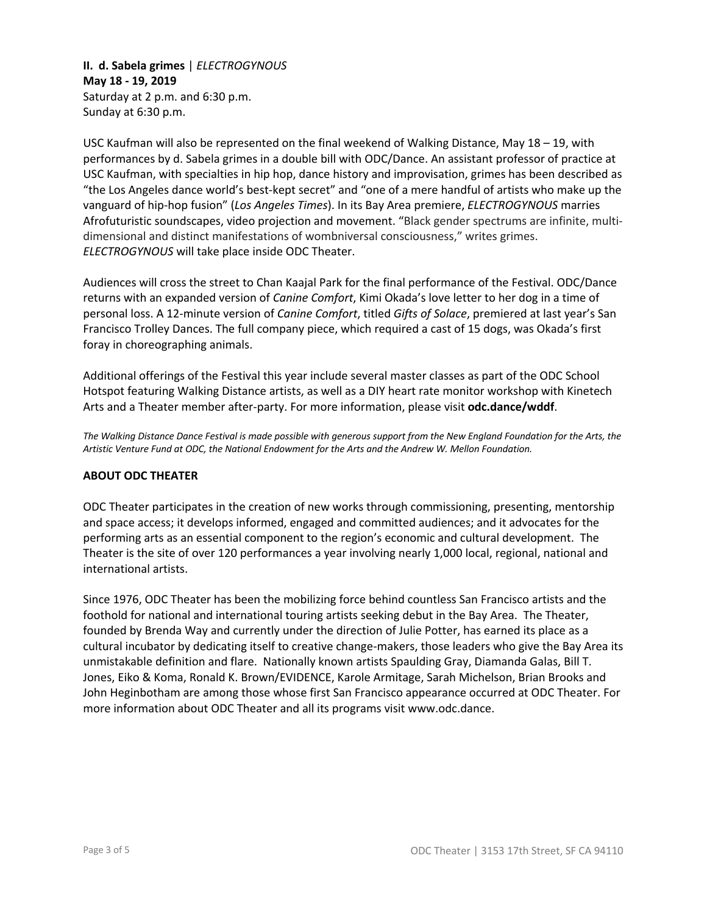**II. d. Sabela grimes** | *ELECTROGYNOUS* **May 18 - 19, 2019**  Saturday at 2 p.m. and 6:30 p.m. Sunday at 6:30 p.m.

USC Kaufman will also be represented on the final weekend of Walking Distance, May 18 – 19, with performances by d. Sabela grimes in a double bill with ODC/Dance. An assistant professor of practice at USC Kaufman, with specialties in hip hop, dance history and improvisation, grimes has been described as "the Los Angeles dance world's best-kept secret" and "one of a mere handful of artists who make up the vanguard of hip-hop fusion" (*Los Angeles Times*). In its Bay Area premiere, *ELECTROGYNOUS* marries Afrofuturistic soundscapes, video projection and movement. "Black gender spectrums are infinite, multidimensional and distinct manifestations of wombniversal consciousness," writes grimes. *ELECTROGYNOUS* will take place inside ODC Theater.

Audiences will cross the street to Chan Kaajal Park for the final performance of the Festival. ODC/Dance returns with an expanded version of *Canine Comfort*, Kimi Okada's love letter to her dog in a time of personal loss. A 12-minute version of *Canine Comfort*, titled *Gifts of Solace*, premiered at last year's San Francisco Trolley Dances. The full company piece, which required a cast of 15 dogs, was Okada's first foray in choreographing animals.

Additional offerings of the Festival this year include several master classes as part of the ODC School Hotspot featuring Walking Distance artists, as well as a DIY heart rate monitor workshop with Kinetech Arts and a Theater member after-party. For more information, please visit **odc.dance/wddf**.

*The Walking Distance Dance Festival is made possible with generous support from the New England Foundation for the Arts, the Artistic Venture Fund at ODC, the National Endowment for the Arts and the Andrew W. Mellon Foundation.*

#### **ABOUT ODC THEATER**

ODC Theater participates in the creation of new works through commissioning, presenting, mentorship and space access; it develops informed, engaged and committed audiences; and it advocates for the performing arts as an essential component to the region's economic and cultural development. The Theater is the site of over 120 performances a year involving nearly 1,000 local, regional, national and international artists.

Since 1976, ODC Theater has been the mobilizing force behind countless San Francisco artists and the foothold for national and international touring artists seeking debut in the Bay Area. The Theater, founded by Brenda Way and currently under the direction of Julie Potter, has earned its place as a cultural incubator by dedicating itself to creative change-makers, those leaders who give the Bay Area its unmistakable definition and flare. Nationally known artists Spaulding Gray, Diamanda Galas, Bill T. Jones, Eiko & Koma, Ronald K. Brown/EVIDENCE, Karole Armitage, Sarah Michelson, Brian Brooks and John Heginbotham are among those whose first San Francisco appearance occurred at ODC Theater. For more information about ODC Theater and all its programs visit www.odc.dance.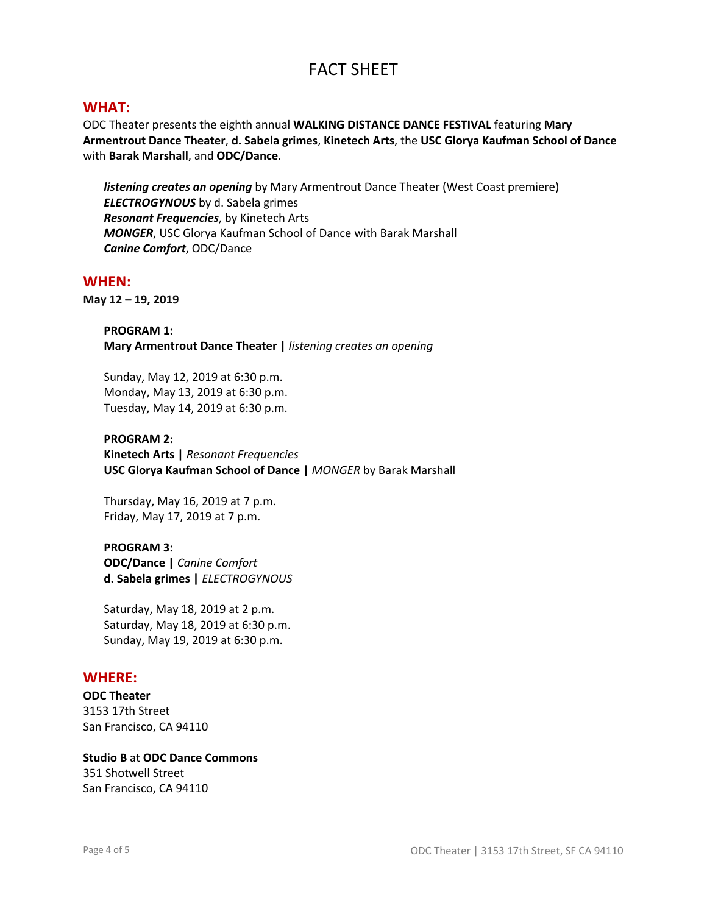# FACT SHEET

## **WHAT:**

ODC Theater presents the eighth annual **WALKING DISTANCE DANCE FESTIVAL** featuring **Mary Armentrout Dance Theater**, **d. Sabela grimes**, **Kinetech Arts**, the **USC Glorya Kaufman School of Dance** with **Barak Marshall**, and **ODC/Dance**.

*listening creates an opening* by Mary Armentrout Dance Theater (West Coast premiere) *ELECTROGYNOUS* by d. Sabela grimes *Resonant Frequencies*, by Kinetech Arts *MONGER*, USC Glorya Kaufman School of Dance with Barak Marshall *Canine Comfort*, ODC/Dance

#### **WHEN:**

**May 12 – 19, 2019**

**PROGRAM 1: Mary Armentrout Dance Theater |** *listening creates an opening*

Sunday, May 12, 2019 at 6:30 p.m. Monday, May 13, 2019 at 6:30 p.m. Tuesday, May 14, 2019 at 6:30 p.m.

#### **PROGRAM 2:**

**Kinetech Arts |** *Resonant Frequencies* **USC Glorya Kaufman School of Dance |** *MONGER* by Barak Marshall

Thursday, May 16, 2019 at 7 p.m. Friday, May 17, 2019 at 7 p.m.

#### **PROGRAM 3:**

**ODC/Dance |** *Canine Comfort* **d. Sabela grimes |** *ELECTROGYNOUS*

Saturday, May 18, 2019 at 2 p.m. Saturday, May 18, 2019 at 6:30 p.m. Sunday, May 19, 2019 at 6:30 p.m.

## **WHERE:**

**ODC Theater** 3153 17th Street San Francisco, CA 94110

**Studio B** at **ODC Dance Commons** 351 Shotwell Street San Francisco, CA 94110